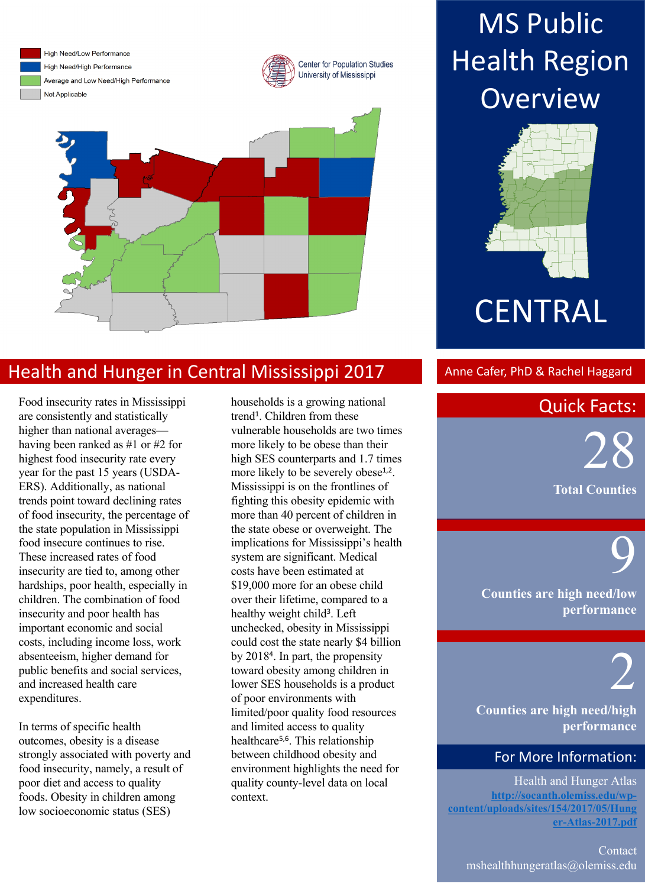

High Need/Low Performance High Need/High Performance Average and Low Need/High Performance Not Applicable





## Health and Hunger in Central Mississippi 2017 Anne Cafer, PhD & Rachel Haggard

Food insecurity rates in Mississippi are consistently and statistically higher than national averages having been ranked as #1 or #2 for highest food insecurity rate every year for the past 15 years (USDA-ERS). Additionally, as national trends point toward declining rates of food insecurity, the percentage of the state population in Mississippi food insecure continues to rise. These increased rates of food insecurity are tied to, among other hardships, poor health, especially in children. The combination of food insecurity and poor health has important economic and social costs, including income loss, work absenteeism, higher demand for public benefits and social services, and increased health care expenditures.

In terms of specific health outcomes, obesity is a disease strongly associated with poverty and food insecurity, namely, a result of poor diet and access to quality foods. Obesity in children among low socioeconomic status (SES)

households is a growing national trend<sup>1</sup>. Children from these vulnerable households are two times more likely to be obese than their high SES counterparts and 1.7 times more likely to be severely obese<sup>1,2</sup>. Mississippi is on the frontlines of fighting this obesity epidemic with more than 40 percent of children in the state obese or overweight. The implications for Mississippi's health system are significant. Medical costs have been estimated at \$19,000 more for an obese child over their lifetime, compared to a healthy weight child<sup>3</sup>. Left unchecked, obesity in Mississippi could cost the state nearly \$4 billion by 20184. In part, the propensity toward obesity among children in lower SES households is a product of poor environments with limited/poor quality food resources and limited access to quality healthcare5,6. This relationship between childhood obesity and environment highlights the need for quality county-level data on local context.

## **MS Public Health Region Overview**



# **CENTRAL**

## **Quick Facts:**

in Physical Activity,  $\blacksquare$  $\overline{\mathbf{X}}$  $\mathcal{L} = \mathcal{L}$ 28 **Total Counties**

> **Counties are high need/low performance**

# 2

9

**Counties are high need/high performance**

### For More Information:

Health and Hunger Atlas **http://socanth.olemiss.edu/wpcontent/uploads/sites/154/2017/05/Hung er-Atlas-2017.pdf**

Contact mshealthhungeratlas@olemiss.edu